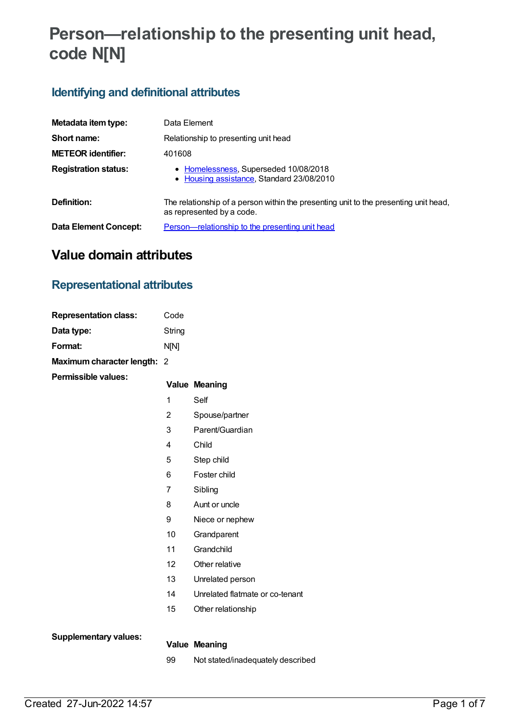# **Person—relationship to the presenting unit head, code N[N]**

## **Identifying and definitional attributes**

| Metadata item type:          | Data Element                                                                                                      |
|------------------------------|-------------------------------------------------------------------------------------------------------------------|
| Short name:                  | Relationship to presenting unit head                                                                              |
| <b>METEOR identifier:</b>    | 401608                                                                                                            |
| <b>Registration status:</b>  | • Homelessness, Superseded 10/08/2018<br>• Housing assistance, Standard 23/08/2010                                |
| Definition:                  | The relationship of a person within the presenting unit to the presenting unit head,<br>as represented by a code. |
| <b>Data Element Concept:</b> | Person—relationship to the presenting unit head                                                                   |

# **Value domain attributes**

### **Representational attributes**

| <b>Representation class:</b> | Code        |
|------------------------------|-------------|
| Data type:                   | String      |
| Format:                      | <b>NIN1</b> |
| Maximum character length: 2  |             |
| <b>Permissible values:</b>   |             |

#### **Value Meaning**

- 1 Self
- 2 Spouse/partner
- 3 Parent/Guardian
- 4 Child
- 5 Step child
- 6 Foster child
- 7 Sibling
- 8 Aunt or uncle
- 9 Niece or nephew
- 10 Grandparent
- 11 Grandchild
- 12 Other relative
- 13 Unrelated person
- 14 Unrelated flatmate or co-tenant
- 15 Other relationship

**Supplementary values:**

#### **Value Meaning**

99 Not stated/inadequately described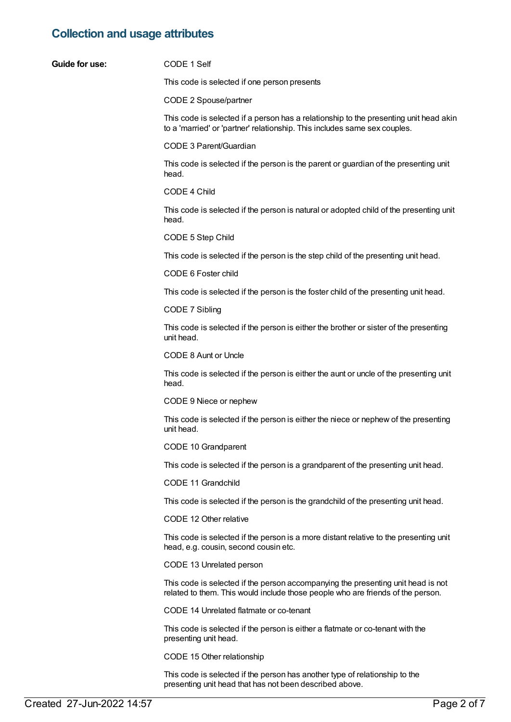# **Collection and usage attributes**

| <b>Guide for use:</b> | CODE 1 Self                                                                                                                                                         |
|-----------------------|---------------------------------------------------------------------------------------------------------------------------------------------------------------------|
|                       | This code is selected if one person presents                                                                                                                        |
|                       | CODE 2 Spouse/partner                                                                                                                                               |
|                       | This code is selected if a person has a relationship to the presenting unit head akin<br>to a 'married' or 'partner' relationship. This includes same sex couples.  |
|                       | CODE 3 Parent/Guardian                                                                                                                                              |
|                       | This code is selected if the person is the parent or guardian of the presenting unit<br>head.                                                                       |
|                       | CODE 4 Child                                                                                                                                                        |
|                       | This code is selected if the person is natural or adopted child of the presenting unit<br>head.                                                                     |
|                       | CODE 5 Step Child                                                                                                                                                   |
|                       | This code is selected if the person is the step child of the presenting unit head.                                                                                  |
|                       | CODE 6 Foster child                                                                                                                                                 |
|                       | This code is selected if the person is the foster child of the presenting unit head.                                                                                |
|                       | CODE 7 Sibling                                                                                                                                                      |
|                       | This code is selected if the person is either the brother or sister of the presenting<br>unit head.                                                                 |
|                       | CODE 8 Aunt or Uncle                                                                                                                                                |
|                       | This code is selected if the person is either the aunt or uncle of the presenting unit<br>head.                                                                     |
|                       | CODE 9 Niece or nephew                                                                                                                                              |
|                       | This code is selected if the person is either the niece or nephew of the presenting<br>unit head.                                                                   |
|                       | CODE 10 Grandparent                                                                                                                                                 |
|                       | This code is selected if the person is a grandparent of the presenting unit head.                                                                                   |
|                       | CODE 11 Grandchild                                                                                                                                                  |
|                       | This code is selected if the person is the grandchild of the presenting unit head.                                                                                  |
|                       | CODE 12 Other relative                                                                                                                                              |
|                       | This code is selected if the person is a more distant relative to the presenting unit<br>head, e.g. cousin, second cousin etc.                                      |
|                       | CODE 13 Unrelated person                                                                                                                                            |
|                       | This code is selected if the person accompanying the presenting unit head is not<br>related to them. This would include those people who are friends of the person. |
|                       | CODE 14 Unrelated flatmate or co-tenant                                                                                                                             |
|                       | This code is selected if the person is either a flatmate or co-tenant with the<br>presenting unit head.                                                             |

CODE 15 Other relationship

This code is selected if the person has another type of relationship to the presenting unit head that has not been described above.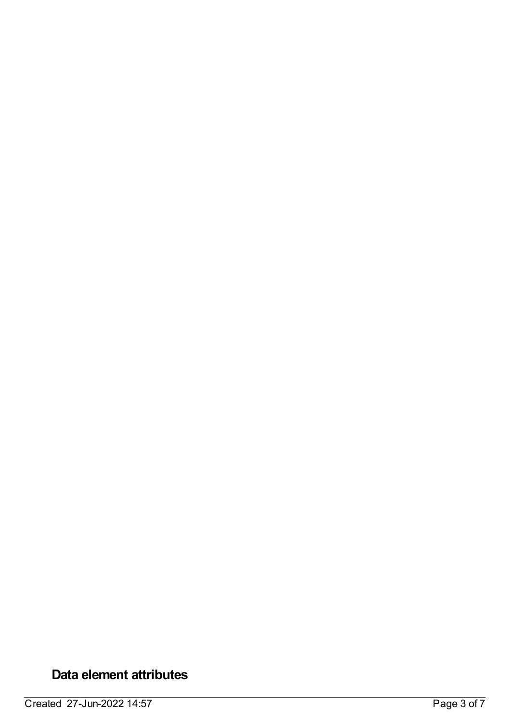# **Data element attributes**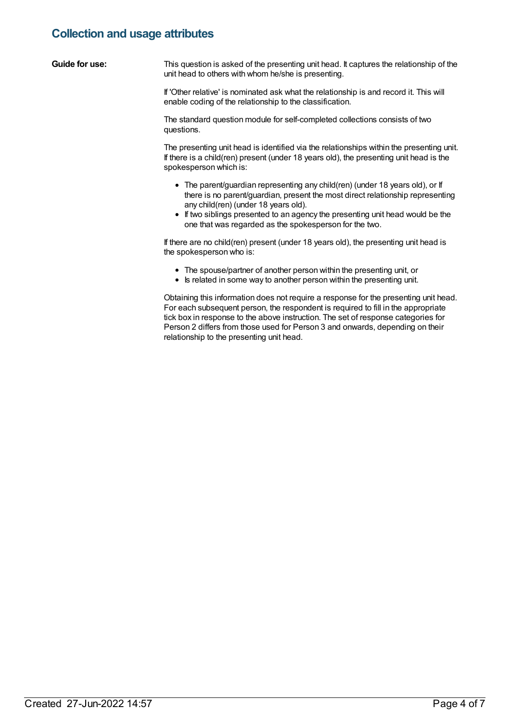### **Collection and usage attributes**

| Guide for use: | This question is asked of the presenting unit head. It captures the relationship of the |
|----------------|-----------------------------------------------------------------------------------------|
|                | unit head to others with whom he/she is presenting.                                     |

If 'Other relative' is nominated ask what the relationship is and record it. This will enable coding of the relationship to the classification.

The standard question module for self-completed collections consists of two questions.

The presenting unit head is identified via the relationships within the presenting unit. If there is a child(ren) present (under 18 years old), the presenting unit head is the spokesperson which is:

- The parent/guardian representing any child(ren) (under 18 years old), or If there is no parent/guardian, present the most direct relationship representing any child(ren) (under 18 years old).
- If two siblings presented to an agency the presenting unit head would be the one that was regarded as the spokesperson for the two.

If there are no child(ren) present (under 18 years old), the presenting unit head is the spokesperson who is:

- The spouse/partner of another person within the presenting unit, or
- Is related in some way to another person within the presenting unit.

Obtaining this information does not require a response for the presenting unit head. For each subsequent person, the respondent is required to fill in the appropriate tick box in response to the above instruction. The set of response categories for Person 2 differs from those used for Person 3 and onwards, depending on their relationship to the presenting unit head.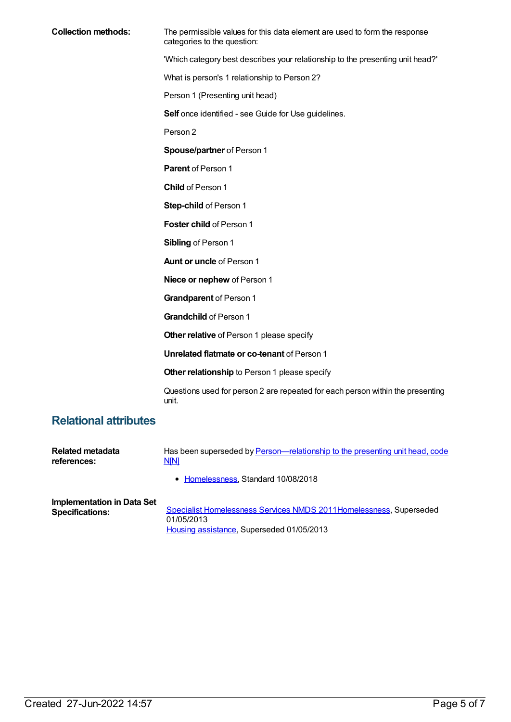**Collection methods:** The permissible values for this data element are used to form the response categories to the question: 'Which category best describes your relationship to the presenting unit head?' What is person's 1 relationship to Person 2? Person 1 (Presenting unit head) **Self** once identified - see Guide for Use guidelines. Person 2 **Spouse/partner** of Person 1 **Parent** of Person 1 **Child** of Person 1 **Step-child** of Person 1 **Foster child** of Person 1 **Sibling** of Person 1 **Aunt or uncle** of Person 1 **Niece or nephew** of Person 1 **Grandparent** of Person 1 **Grandchild** of Person 1 **Other relative** of Person 1 please specify **Unrelated flatmate or co-tenant** of Person 1 **Other relationship** to Person 1 please specify

> Questions used for person 2 are repeated for each person within the presenting unit.

### **Relational attributes**

| <b>Related metadata</b>           | Has been superseded by Person—relationship to the presenting unit head, code |
|-----------------------------------|------------------------------------------------------------------------------|
| references:                       | <b>NM</b>                                                                    |
|                                   | • Homelessness, Standard 10/08/2018                                          |
| <b>Implementation in Data Set</b> | Specialist Homelessness Services NMDS 2011 Homelessness, Superseded          |
| <b>Specifications:</b>            | 01/05/2013                                                                   |

Housing [assistance](https://meteor.aihw.gov.au/RegistrationAuthority/11), Superseded 01/05/2013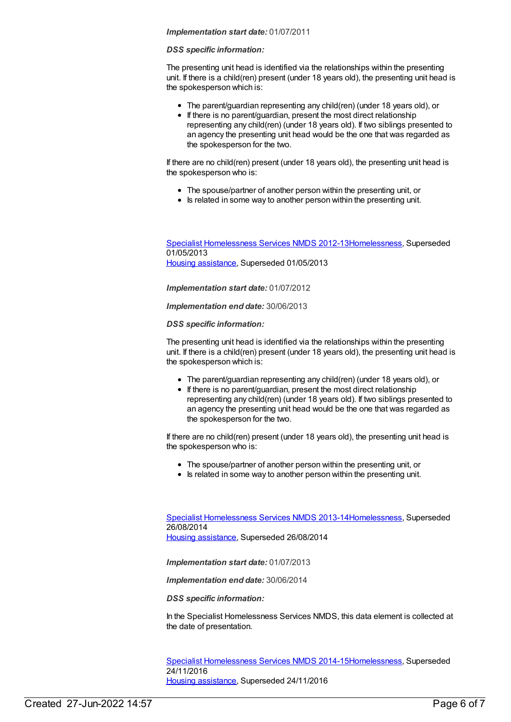#### *Implementation start date:* 01/07/2011

#### *DSS specific information:*

The presenting unit head is identified via the relationships within the presenting unit. If there is a child(ren) present (under 18 years old), the presenting unit head is the spokesperson which is:

- The parent/guardian representing any child(ren) (under 18 years old), or
- If there is no parent/guardian, present the most direct relationship representing any child(ren) (under 18 years old). If two siblings presented to an agency the presenting unit head would be the one that was regarded as the spokesperson for the two.

If there are no child(ren) present (under 18 years old), the presenting unit head is the spokesperson who is:

- The spouse/partner of another person within the presenting unit, or
- Is related in some way to another person within the presenting unit.

Specialist [Homelessness](https://meteor.aihw.gov.au/content/508954) Services NMDS 2012-1[3Homelessness](https://meteor.aihw.gov.au/RegistrationAuthority/14), Superseded 01/05/2013 Housing [assistance](https://meteor.aihw.gov.au/RegistrationAuthority/11), Superseded 01/05/2013

*Implementation start date:* 01/07/2012

*Implementation end date:* 30/06/2013

*DSS specific information:*

The presenting unit head is identified via the relationships within the presenting unit. If there is a child(ren) present (under 18 years old), the presenting unit head is the spokesperson which is:

- The parent/guardian representing any child(ren) (under 18 years old), or
- If there is no parent/guardian, present the most direct relationship representing any child(ren) (under 18 years old). If two siblings presented to an agency the presenting unit head would be the one that was regarded as the spokesperson for the two.

If there are no child(ren) present (under 18 years old), the presenting unit head is the spokesperson who is:

- The spouse/partner of another person within the presenting unit, or
- Is related in some way to another person within the presenting unit.

Specialist [Homelessness](https://meteor.aihw.gov.au/content/505626) Services NMDS 2013-1[4Homelessness](https://meteor.aihw.gov.au/RegistrationAuthority/14), Superseded 26/08/2014 Housing [assistance](https://meteor.aihw.gov.au/RegistrationAuthority/11), Superseded 26/08/2014

*Implementation start date:* 01/07/2013

*Implementation end date:* 30/06/2014

*DSS specific information:*

In the Specialist Homelessness Services NMDS, this data element is collected at the date of presentation.

Specialist [Homelessness](https://meteor.aihw.gov.au/content/581255) Services NMDS 2014-1[5Homelessness](https://meteor.aihw.gov.au/RegistrationAuthority/14), Superseded 24/11/2016 Housing [assistance](https://meteor.aihw.gov.au/RegistrationAuthority/11), Superseded 24/11/2016